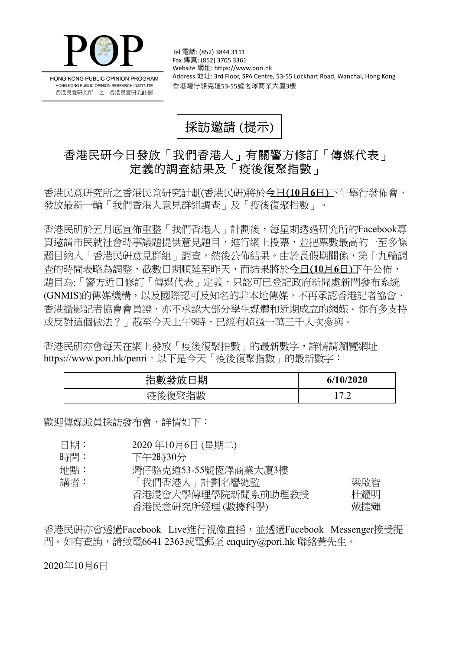

HONG KONG PUBLIC OPINION PROGRAM HONG KONG PUBLIC OPINION RESEARCH INSTITUTE 香港民意研究所 之 香港民意研究計劃

Tel 電話: (852) 3844 3111 Fax 傳真: (852) 3705 3361 Website 網址: https://www.pori.hk Address 地址: 3rd Floor, SPA Centre, 53-55 Lockhart Road, Wanchai, Hong Kong 香港灣仔駱克道53-55號恆澤商業大廈3樓

採訪邀請 (提示)

## 香港民研今日發放「我們香港人」有關警方修訂「傳媒代表」 定義的調查結果及「疫後復聚指數」

香港民意研究所之香港民意研究計劃(香港民研)將於今日(**10**月**6**日)下午舉行發佈會, 發放最新一輪「我們香港人意見群組調查」及「疫後復聚指數」。

香港民研於五月底宣佈重整「我們香港人」計劃後,每星期透過研究所的Facebook專 頁邀請市民就社會時事議題提供意見題目,進行網上投票,並把票數最高的一至多條 題目納入「香港民研意見群組」調查,然後公佈結果。由於長假期關係,第十九輪調 查的時間表略為調整,截數日期順延至昨天,而結果將於今日(**10**月**6**日)下午公佈, 題目為:「警方近日修訂「傳媒代表」定義,只認可已登記政府新聞處新聞發布系統 (GNMIS)的傳媒機構,以及國際認可及知名的非本地傳媒,不再承認香港記者協會、 香港攝影記者協會會員證,亦不承認大部分學生媒體和近期成立的網媒。你有多支持 或反對這個做法?」截至今天上午9時,已經有超過一萬三千人次參與。

香港民研亦會每天在網上發放「疫後復聚指數」的最新數字,詳情請瀏覽網址 <https://www.pori.hk/penri>。以下是今天「疫後復聚指數」的最新數字:

| 指數發放<br>期 | 6/10/2020                |
|-----------|--------------------------|
| 復聚指數      | ר הו                     |
| 疫後征       | $\overline{\phantom{a}}$ |

歡迎傳媒派員採訪發布會,詳情如下:

- 日期: 2020 年10月6日 (星期二)
- 時間: 下午2時30分
- 地點: 灣仔駱克道53-55號恆澤商業大廈3樓

| 講者: | 「我們香港人」計劃名譽總監      | 梁啟智 |
|-----|--------------------|-----|
|     | 香港浸會大學傳理學院新聞系前助理教授 | 杜耀明 |
|     | 香港民意研究所經理(數據科學)    | 戴捷輝 |

香港民研亦會透過Facebook Live進行視像直播,並透過Facebook Messenger接受提 問。如有查詢,請致電6641 2363或電郵至 enquiry@pori.hk 聯絡黃先生。

2020年10月6日